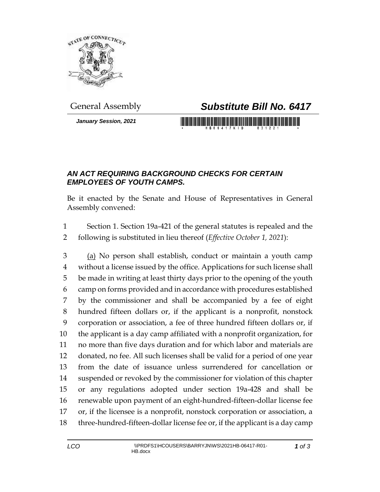

*January Session, 2021*

## General Assembly *Substitute Bill No. 6417*

## <u> 1989 - An Dùbhlachd ann an Dùbhaidh ann an Dùbhaidh ann an Dùbhlachd ann an Dùbhlachd ann an Dùbhlachd ann an </u>

## *AN ACT REQUIRING BACKGROUND CHECKS FOR CERTAIN EMPLOYEES OF YOUTH CAMPS.*

Be it enacted by the Senate and House of Representatives in General Assembly convened:

 Section 1. Section 19a-421 of the general statutes is repealed and the following is substituted in lieu thereof (*Effective October 1, 2021*):

 (a) No person shall establish, conduct or maintain a youth camp without a license issued by the office. Applications for such license shall be made in writing at least thirty days prior to the opening of the youth camp on forms provided and in accordance with procedures established by the commissioner and shall be accompanied by a fee of eight hundred fifteen dollars or, if the applicant is a nonprofit, nonstock corporation or association, a fee of three hundred fifteen dollars or, if the applicant is a day camp affiliated with a nonprofit organization, for no more than five days duration and for which labor and materials are donated, no fee. All such licenses shall be valid for a period of one year from the date of issuance unless surrendered for cancellation or suspended or revoked by the commissioner for violation of this chapter or any regulations adopted under section 19a-428 and shall be renewable upon payment of an eight-hundred-fifteen-dollar license fee or, if the licensee is a nonprofit, nonstock corporation or association, a three-hundred-fifteen-dollar license fee or, if the applicant is a day camp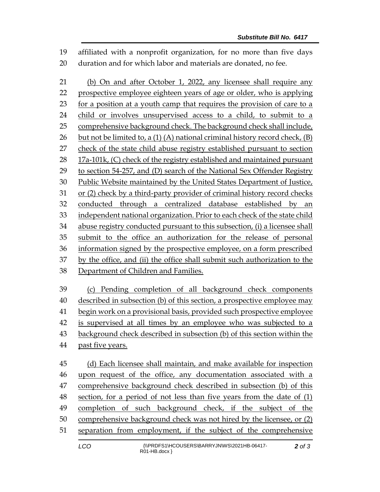affiliated with a nonprofit organization, for no more than five days duration and for which labor and materials are donated, no fee.

 (b) On and after October 1, 2022, any licensee shall require any prospective employee eighteen years of age or older, who is applying for a position at a youth camp that requires the provision of care to a child or involves unsupervised access to a child, to submit to a comprehensive background check. The background check shall include, 26 but not be limited to, a  $(1)$   $(A)$  national criminal history record check,  $(B)$  check of the state child abuse registry established pursuant to section 28 17a-101k, (C) check of the registry established and maintained pursuant to section 54-257, and (D) search of the National Sex Offender Registry Public Website maintained by the United States Department of Justice, or (2) check by a third-party provider of criminal history record checks conducted through a centralized database established by an independent national organization. Prior to each check of the state child abuse registry conducted pursuant to this subsection, (i) a licensee shall submit to the office an authorization for the release of personal information signed by the prospective employee, on a form prescribed by the office, and (ii) the office shall submit such authorization to the Department of Children and Families. (c) Pending completion of all background check components

 described in subsection (b) of this section, a prospective employee may begin work on a provisional basis, provided such prospective employee is supervised at all times by an employee who was subjected to a background check described in subsection (b) of this section within the past five years.

 (d) Each licensee shall maintain, and make available for inspection upon request of the office, any documentation associated with a comprehensive background check described in subsection (b) of this section, for a period of not less than five years from the date of (1) completion of such background check, if the subject of the comprehensive background check was not hired by the licensee, or (2) separation from employment, if the subject of the comprehensive